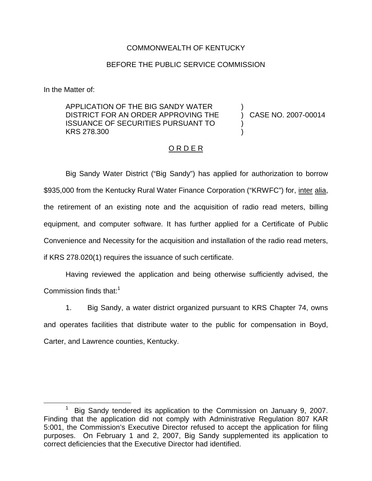## COMMONWEALTH OF KENTUCKY

## BEFORE THE PUBLIC SERVICE COMMISSION

In the Matter of:

APPLICATION OF THE BIG SANDY WATER DISTRICT FOR AN ORDER APPROVING THE ISSUANCE OF SECURITIES PURSUANT TO KRS 278.300

) CASE NO. 2007-00014

)

) )

## O R D E R

Big Sandy Water District ("Big Sandy") has applied for authorization to borrow \$935,000 from the Kentucky Rural Water Finance Corporation ("KRWFC") for, inter alia, the retirement of an existing note and the acquisition of radio read meters, billing equipment, and computer software. It has further applied for a Certificate of Public Convenience and Necessity for the acquisition and installation of the radio read meters, if KRS 278.020(1) requires the issuance of such certificate.

Having reviewed the application and being otherwise sufficiently advised, the Commission finds that: $1$ 

1. Big Sandy, a water district organized pursuant to KRS Chapter 74, owns and operates facilities that distribute water to the public for compensation in Boyd, Carter, and Lawrence counties, Kentucky.

Big Sandy tendered its application to the Commission on January 9, 2007. Finding that the application did not comply with Administrative Regulation 807 KAR 5:001, the Commission's Executive Director refused to accept the application for filing purposes. On February 1 and 2, 2007, Big Sandy supplemented its application to correct deficiencies that the Executive Director had identified.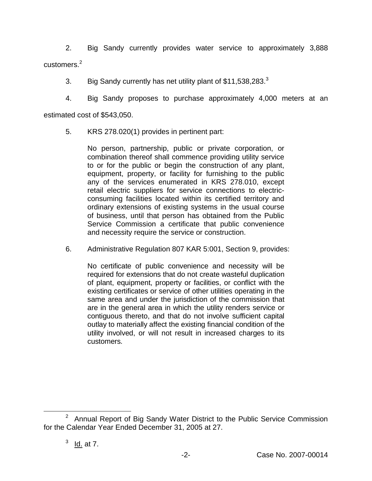2. Big Sandy currently provides water service to approximately 3,888 customers.<sup>2</sup>

3. Big Sandy currently has net utility plant of \$11,538.283.<sup>3</sup>

4. Big Sandy proposes to purchase approximately 4,000 meters at an

estimated cost of \$543,050.

5. KRS 278.020(1) provides in pertinent part:

No person, partnership, public or private corporation, or combination thereof shall commence providing utility service to or for the public or begin the construction of any plant, equipment, property, or facility for furnishing to the public any of the services enumerated in KRS 278.010, except retail electric suppliers for service connections to electricconsuming facilities located within its certified territory and ordinary extensions of existing systems in the usual course of business, until that person has obtained from the Public Service Commission a certificate that public convenience and necessity require the service or construction.

6. Administrative Regulation 807 KAR 5:001, Section 9, provides:

No certificate of public convenience and necessity will be required for extensions that do not create wasteful duplication of plant, equipment, property or facilities, or conflict with the existing certificates or service of other utilities operating in the same area and under the jurisdiction of the commission that are in the general area in which the utility renders service or contiguous thereto, and that do not involve sufficient capital outlay to materially affect the existing financial condition of the utility involved, or will not result in increased charges to its customers.

<sup>&</sup>lt;sup>2</sup> Annual Report of Big Sandy Water District to the Public Service Commission for the Calendar Year Ended December 31, 2005 at 27.

 $3$  Id. at 7.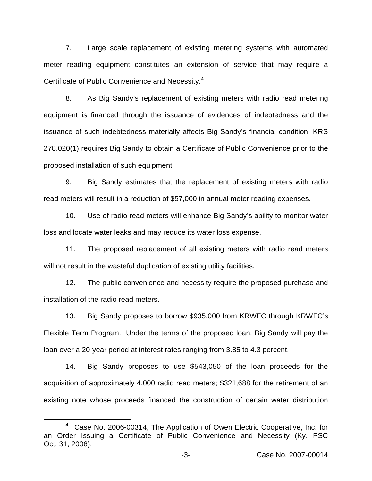7. Large scale replacement of existing metering systems with automated meter reading equipment constitutes an extension of service that may require a Certificate of Public Convenience and Necessity.<sup>4</sup>

8. As Big Sandy's replacement of existing meters with radio read metering equipment is financed through the issuance of evidences of indebtedness and the issuance of such indebtedness materially affects Big Sandy's financial condition, KRS 278.020(1) requires Big Sandy to obtain a Certificate of Public Convenience prior to the proposed installation of such equipment.

9. Big Sandy estimates that the replacement of existing meters with radio read meters will result in a reduction of \$57,000 in annual meter reading expenses.

10. Use of radio read meters will enhance Big Sandy's ability to monitor water loss and locate water leaks and may reduce its water loss expense.

11. The proposed replacement of all existing meters with radio read meters will not result in the wasteful duplication of existing utility facilities.

12. The public convenience and necessity require the proposed purchase and installation of the radio read meters.

13. Big Sandy proposes to borrow \$935,000 from KRWFC through KRWFC's Flexible Term Program. Under the terms of the proposed loan, Big Sandy will pay the loan over a 20-year period at interest rates ranging from 3.85 to 4.3 percent.

14. Big Sandy proposes to use \$543,050 of the loan proceeds for the acquisition of approximately 4,000 radio read meters; \$321,688 for the retirement of an existing note whose proceeds financed the construction of certain water distribution

<sup>4</sup> Case No. 2006-00314, The Application of Owen Electric Cooperative, Inc. for an Order Issuing a Certificate of Public Convenience and Necessity (Ky. PSC Oct. 31, 2006).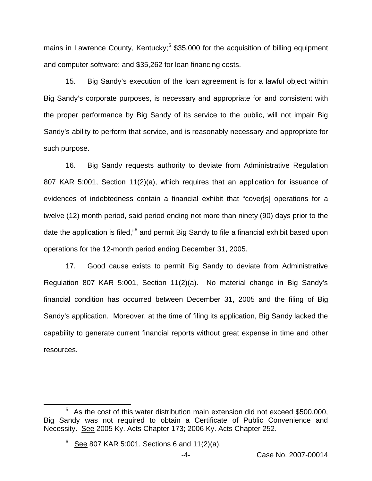mains in Lawrence County, Kentucky;<sup>5</sup> \$35,000 for the acquisition of billing equipment and computer software; and \$35,262 for loan financing costs.

15. Big Sandy's execution of the loan agreement is for a lawful object within Big Sandy's corporate purposes, is necessary and appropriate for and consistent with the proper performance by Big Sandy of its service to the public, will not impair Big Sandy's ability to perform that service, and is reasonably necessary and appropriate for such purpose.

16. Big Sandy requests authority to deviate from Administrative Regulation 807 KAR 5:001, Section 11(2)(a), which requires that an application for issuance of evidences of indebtedness contain a financial exhibit that "cover[s] operations for a twelve (12) month period, said period ending not more than ninety (90) days prior to the date the application is filed,"<sup>6</sup> and permit Big Sandy to file a financial exhibit based upon operations for the 12-month period ending December 31, 2005.

17. Good cause exists to permit Big Sandy to deviate from Administrative Regulation 807 KAR 5:001, Section 11(2)(a). No material change in Big Sandy's financial condition has occurred between December 31, 2005 and the filing of Big Sandy's application. Moreover, at the time of filing its application, Big Sandy lacked the capability to generate current financial reports without great expense in time and other resources.

 $5$  As the cost of this water distribution main extension did not exceed \$500,000, Big Sandy was not required to obtain a Certificate of Public Convenience and Necessity. See 2005 Ky. Acts Chapter 173; 2006 Ky. Acts Chapter 252.

 $6$  See 807 KAR 5:001, Sections 6 and 11(2)(a).